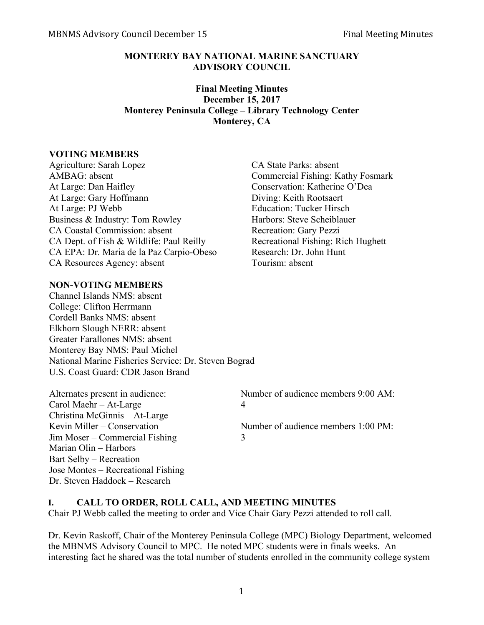### **MONTEREY BAY NATIONAL MARINE SANCTUARY ADVISORY COUNCIL**

### **Final Meeting Minutes December 15, 2017 Monterey Peninsula College – Library Technology Center Monterey, CA**

#### **VOTING MEMBERS**

Agriculture: Sarah Lopez CA State Parks: absent AMBAG: absent Commercial Fishing: Kathy Fosmark At Large: Dan Haifley Conservation: Katherine O'Dea At Large: Gary Hoffmann Diving: Keith Rootsaert At Large: PJ Webb Education: Tucker Hirsch Business & Industry: Tom Rowley Harbors: Steve Scheiblauer CA Coastal Commission: absent Recreation: Gary Pezzi CA Dept. of Fish & Wildlife: Paul Reilly Recreational Fishing: Rich Hughett CA EPA: Dr. Maria de la Paz Carpio-Obeso Research: Dr. John Hunt CA Resources Agency: absent Tourism: absent

### **NON-VOTING MEMBERS**

Channel Islands NMS: absent College: Clifton Herrmann Cordell Banks NMS: absent Elkhorn Slough NERR: absent Greater Farallones NMS: absent Monterey Bay NMS: Paul Michel National Marine Fisheries Service: Dr. Steven Bograd U.S. Coast Guard: CDR Jason Brand

Carol Maehr – At-Large 4 Christina McGinnis – At-Large Jim Moser – Commercial Fishing 3 Marian Olin – Harbors Bart Selby – Recreation Jose Montes – Recreational Fishing Dr. Steven Haddock – Research

Alternates present in audience: Number of audience members 9:00 AM:

Kevin Miller – Conservation Number of audience members 1:00 PM:

#### **I. CALL TO ORDER, ROLL CALL, AND MEETING MINUTES**

Chair PJ Webb called the meeting to order and Vice Chair Gary Pezzi attended to roll call.

Dr. Kevin Raskoff, Chair of the Monterey Peninsula College (MPC) Biology Department, welcomed the MBNMS Advisory Council to MPC. He noted MPC students were in finals weeks. An interesting fact he shared was the total number of students enrolled in the community college system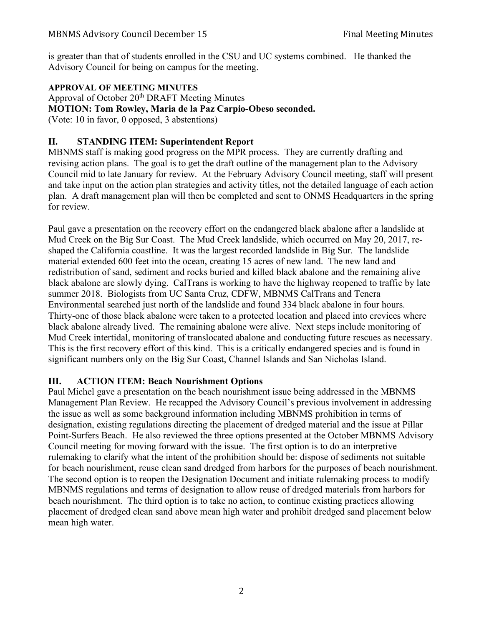is greater than that of students enrolled in the CSU and UC systems combined. He thanked the Advisory Council for being on campus for the meeting.

## **APPROVAL OF MEETING MINUTES**

Approval of October 20th DRAFT Meeting Minutes **MOTION: Tom Rowley, Maria de la Paz Carpio-Obeso seconded.** (Vote: 10 in favor, 0 opposed, 3 abstentions)

## **II. STANDING ITEM: Superintendent Report**

MBNMS staff is making good progress on the MPR process. They are currently drafting and revising action plans. The goal is to get the draft outline of the management plan to the Advisory Council mid to late January for review. At the February Advisory Council meeting, staff will present and take input on the action plan strategies and activity titles, not the detailed language of each action plan. A draft management plan will then be completed and sent to ONMS Headquarters in the spring for review.

Paul gave a presentation on the recovery effort on the endangered black abalone after a landslide at Mud Creek on the Big Sur Coast. The Mud Creek landslide, which occurred on May 20, 2017, reshaped the California coastline. It was the largest recorded landslide in Big Sur. The landslide material extended 600 feet into the ocean, creating 15 acres of new land. The new land and redistribution of sand, sediment and rocks buried and killed black abalone and the remaining alive black abalone are slowly dying. CalTrans is working to have the highway reopened to traffic by late summer 2018. Biologists from UC Santa Cruz, CDFW, MBNMS CalTrans and Tenera Environmental searched just north of the landslide and found 334 black abalone in four hours. Thirty-one of those black abalone were taken to a protected location and placed into crevices where black abalone already lived. The remaining abalone were alive. Next steps include monitoring of Mud Creek intertidal, monitoring of translocated abalone and conducting future rescues as necessary. This is the first recovery effort of this kind. This is a critically endangered species and is found in significant numbers only on the Big Sur Coast, Channel Islands and San Nicholas Island.

## **III. ACTION ITEM: Beach Nourishment Options**

Paul Michel gave a presentation on the beach nourishment issue being addressed in the MBNMS Management Plan Review. He recapped the Advisory Council's previous involvement in addressing the issue as well as some background information including MBNMS prohibition in terms of designation, existing regulations directing the placement of dredged material and the issue at Pillar Point-Surfers Beach. He also reviewed the three options presented at the October MBNMS Advisory Council meeting for moving forward with the issue. The first option is to do an interpretive rulemaking to clarify what the intent of the prohibition should be: dispose of sediments not suitable for beach nourishment, reuse clean sand dredged from harbors for the purposes of beach nourishment. The second option is to reopen the Designation Document and initiate rulemaking process to modify MBNMS regulations and terms of designation to allow reuse of dredged materials from harbors for beach nourishment. The third option is to take no action, to continue existing practices allowing placement of dredged clean sand above mean high water and prohibit dredged sand placement below mean high water.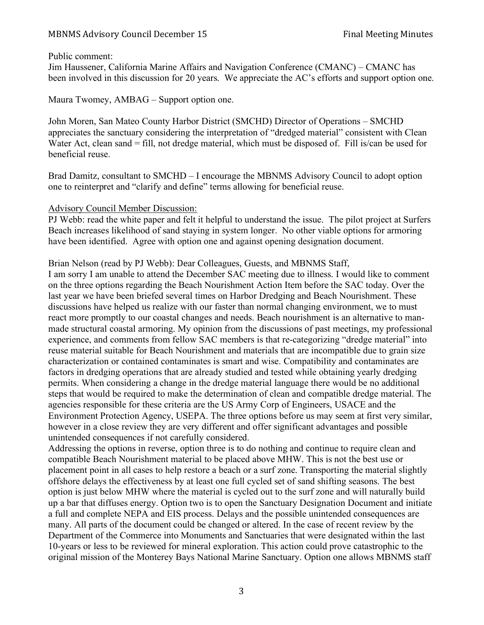#### MBNMS Advisory Council December 15 Final Meeting Minutes

#### Public comment:

Jim Haussener, California Marine Affairs and Navigation Conference (CMANC) – CMANC has been involved in this discussion for 20 years. We appreciate the AC's efforts and support option one.

Maura Twomey, AMBAG – Support option one.

John Moren, San Mateo County Harbor District (SMCHD) Director of Operations – SMCHD appreciates the sanctuary considering the interpretation of "dredged material" consistent with Clean Water Act, clean sand = fill, not dredge material, which must be disposed of. Fill is/can be used for beneficial reuse.

Brad Damitz, consultant to SMCHD – I encourage the MBNMS Advisory Council to adopt option one to reinterpret and "clarify and define" terms allowing for beneficial reuse.

#### Advisory Council Member Discussion:

PJ Webb: read the white paper and felt it helpful to understand the issue. The pilot project at Surfers Beach increases likelihood of sand staying in system longer. No other viable options for armoring have been identified. Agree with option one and against opening designation document.

Brian Nelson (read by PJ Webb): Dear Colleagues, Guests, and MBNMS Staff,

I am sorry I am unable to attend the December SAC meeting due to illness. I would like to comment on the three options regarding the Beach Nourishment Action Item before the SAC today. Over the last year we have been briefed several times on Harbor Dredging and Beach Nourishment. These discussions have helped us realize with our faster than normal changing environment, we to must react more promptly to our coastal changes and needs. Beach nourishment is an alternative to manmade structural coastal armoring. My opinion from the discussions of past meetings, my professional experience, and comments from fellow SAC members is that re-categorizing "dredge material" into reuse material suitable for Beach Nourishment and materials that are incompatible due to grain size characterization or contained contaminates is smart and wise. Compatibility and contaminates are factors in dredging operations that are already studied and tested while obtaining yearly dredging permits. When considering a change in the dredge material language there would be no additional steps that would be required to make the determination of clean and compatible dredge material. The agencies responsible for these criteria are the US Army Corp of Engineers, USACE and the Environment Protection Agency, USEPA. The three options before us may seem at first very similar, however in a close review they are very different and offer significant advantages and possible unintended consequences if not carefully considered.

Addressing the options in reverse, option three is to do nothing and continue to require clean and compatible Beach Nourishment material to be placed above MHW. This is not the best use or placement point in all cases to help restore a beach or a surf zone. Transporting the material slightly offshore delays the effectiveness by at least one full cycled set of sand shifting seasons. The best option is just below MHW where the material is cycled out to the surf zone and will naturally build up a bar that diffuses energy. Option two is to open the Sanctuary Designation Document and initiate a full and complete NEPA and EIS process. Delays and the possible unintended consequences are many. All parts of the document could be changed or altered. In the case of recent review by the Department of the Commerce into Monuments and Sanctuaries that were designated within the last 10-years or less to be reviewed for mineral exploration. This action could prove catastrophic to the original mission of the Monterey Bays National Marine Sanctuary. Option one allows MBNMS staff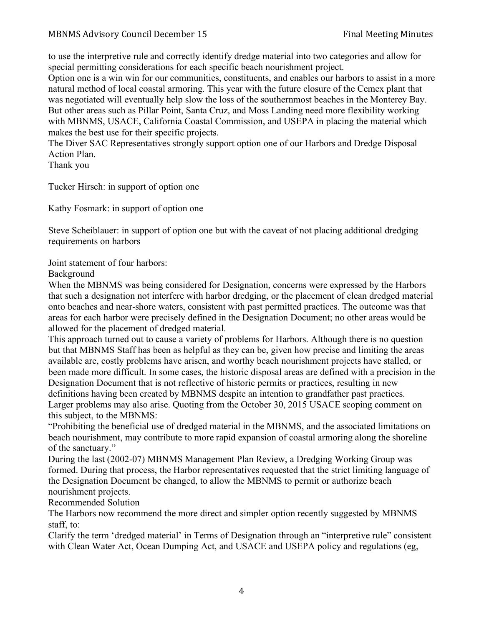to use the interpretive rule and correctly identify dredge material into two categories and allow for special permitting considerations for each specific beach nourishment project.

Option one is a win win for our communities, constituents, and enables our harbors to assist in a more natural method of local coastal armoring. This year with the future closure of the Cemex plant that was negotiated will eventually help slow the loss of the southernmost beaches in the Monterey Bay. But other areas such as Pillar Point, Santa Cruz, and Moss Landing need more flexibility working with MBNMS, USACE, California Coastal Commission, and USEPA in placing the material which makes the best use for their specific projects.

The Diver SAC Representatives strongly support option one of our Harbors and Dredge Disposal Action Plan.

Thank you

Tucker Hirsch: in support of option one

Kathy Fosmark: in support of option one

Steve Scheiblauer: in support of option one but with the caveat of not placing additional dredging requirements on harbors

Joint statement of four harbors:

Background

When the MBNMS was being considered for Designation, concerns were expressed by the Harbors that such a designation not interfere with harbor dredging, or the placement of clean dredged material onto beaches and near-shore waters, consistent with past permitted practices. The outcome was that areas for each harbor were precisely defined in the Designation Document; no other areas would be allowed for the placement of dredged material.

This approach turned out to cause a variety of problems for Harbors. Although there is no question but that MBNMS Staff has been as helpful as they can be, given how precise and limiting the areas available are, costly problems have arisen, and worthy beach nourishment projects have stalled, or been made more difficult. In some cases, the historic disposal areas are defined with a precision in the Designation Document that is not reflective of historic permits or practices, resulting in new definitions having been created by MBNMS despite an intention to grandfather past practices. Larger problems may also arise. Quoting from the October 30, 2015 USACE scoping comment on this subject, to the MBNMS:

"Prohibiting the beneficial use of dredged material in the MBNMS, and the associated limitations on beach nourishment, may contribute to more rapid expansion of coastal armoring along the shoreline of the sanctuary."

During the last (2002-07) MBNMS Management Plan Review, a Dredging Working Group was formed. During that process, the Harbor representatives requested that the strict limiting language of the Designation Document be changed, to allow the MBNMS to permit or authorize beach nourishment projects.

Recommended Solution

The Harbors now recommend the more direct and simpler option recently suggested by MBNMS staff, to:

Clarify the term 'dredged material' in Terms of Designation through an "interpretive rule" consistent with Clean Water Act, Ocean Dumping Act, and USACE and USEPA policy and regulations (eg,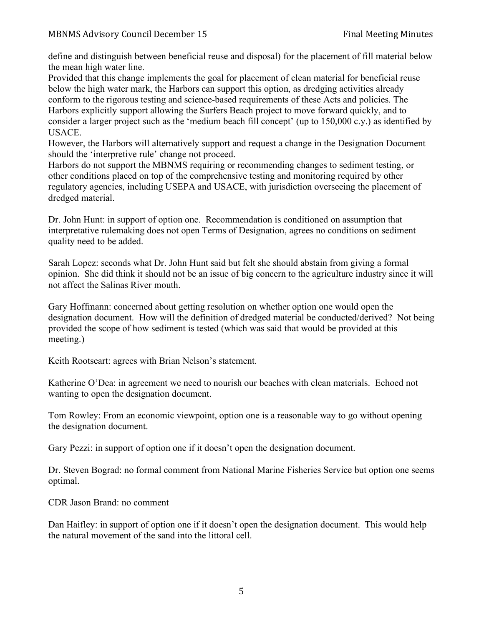define and distinguish between beneficial reuse and disposal) for the placement of fill material below the mean high water line.

Provided that this change implements the goal for placement of clean material for beneficial reuse below the high water mark, the Harbors can support this option, as dredging activities already conform to the rigorous testing and science-based requirements of these Acts and policies. The Harbors explicitly support allowing the Surfers Beach project to move forward quickly, and to consider a larger project such as the 'medium beach fill concept' (up to 150,000 c.y.) as identified by USACE.

However, the Harbors will alternatively support and request a change in the Designation Document should the 'interpretive rule' change not proceed.

Harbors do not support the MBNMS requiring or recommending changes to sediment testing, or other conditions placed on top of the comprehensive testing and monitoring required by other regulatory agencies, including USEPA and USACE, with jurisdiction overseeing the placement of dredged material.

Dr. John Hunt: in support of option one. Recommendation is conditioned on assumption that interpretative rulemaking does not open Terms of Designation, agrees no conditions on sediment quality need to be added.

Sarah Lopez: seconds what Dr. John Hunt said but felt she should abstain from giving a formal opinion. She did think it should not be an issue of big concern to the agriculture industry since it will not affect the Salinas River mouth.

Gary Hoffmann: concerned about getting resolution on whether option one would open the designation document. How will the definition of dredged material be conducted/derived? Not being provided the scope of how sediment is tested (which was said that would be provided at this meeting.)

Keith Rootseart: agrees with Brian Nelson's statement.

Katherine O'Dea: in agreement we need to nourish our beaches with clean materials. Echoed not wanting to open the designation document.

Tom Rowley: From an economic viewpoint, option one is a reasonable way to go without opening the designation document.

Gary Pezzi: in support of option one if it doesn't open the designation document.

Dr. Steven Bograd: no formal comment from National Marine Fisheries Service but option one seems optimal.

CDR Jason Brand: no comment

Dan Haifley: in support of option one if it doesn't open the designation document. This would help the natural movement of the sand into the littoral cell.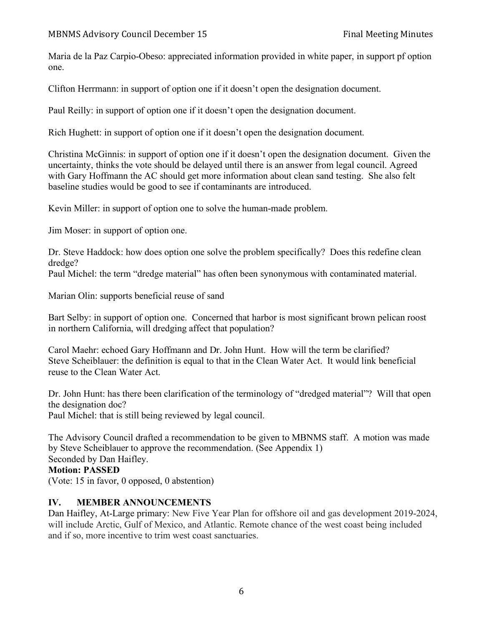Maria de la Paz Carpio-Obeso: appreciated information provided in white paper, in support pf option one.

Clifton Herrmann: in support of option one if it doesn't open the designation document.

Paul Reilly: in support of option one if it doesn't open the designation document.

Rich Hughett: in support of option one if it doesn't open the designation document.

Christina McGinnis: in support of option one if it doesn't open the designation document. Given the uncertainty, thinks the vote should be delayed until there is an answer from legal council. Agreed with Gary Hoffmann the AC should get more information about clean sand testing. She also felt baseline studies would be good to see if contaminants are introduced.

Kevin Miller: in support of option one to solve the human-made problem.

Jim Moser: in support of option one.

Dr. Steve Haddock: how does option one solve the problem specifically? Does this redefine clean dredge?

Paul Michel: the term "dredge material" has often been synonymous with contaminated material.

Marian Olin: supports beneficial reuse of sand

Bart Selby: in support of option one. Concerned that harbor is most significant brown pelican roost in northern California, will dredging affect that population?

Carol Maehr: echoed Gary Hoffmann and Dr. John Hunt. How will the term be clarified? Steve Scheiblauer: the definition is equal to that in the Clean Water Act. It would link beneficial reuse to the Clean Water Act.

Dr. John Hunt: has there been clarification of the terminology of "dredged material"? Will that open the designation doc? Paul Michel: that is still being reviewed by legal council.

The Advisory Council drafted a recommendation to be given to MBNMS staff. A motion was made by Steve Scheiblauer to approve the recommendation. (See Appendix 1) Seconded by Dan Haifley. **Motion: PASSED**

(Vote: 15 in favor, 0 opposed, 0 abstention)

## **IV. MEMBER ANNOUNCEMENTS**

Dan Haifley, At-Large primary: New Five Year Plan for offshore oil and gas development 2019-2024, will include Arctic, Gulf of Mexico, and Atlantic. Remote chance of the west coast being included and if so, more incentive to trim west coast sanctuaries.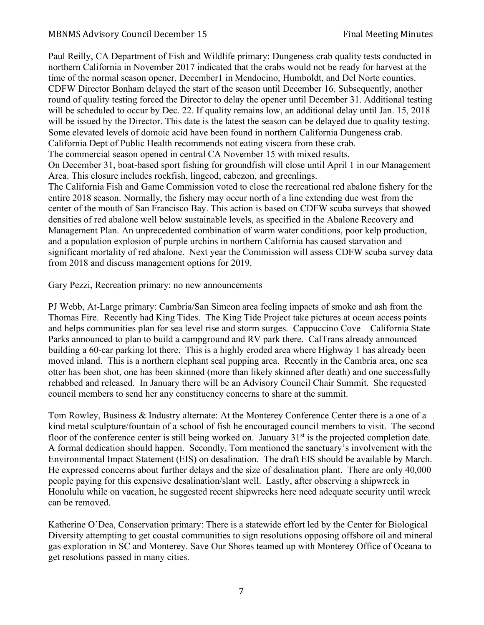Paul Reilly, CA Department of Fish and Wildlife primary: Dungeness crab quality tests conducted in northern California in November 2017 indicated that the crabs would not be ready for harvest at the time of the normal season opener, December1 in Mendocino, Humboldt, and Del Norte counties. CDFW Director Bonham delayed the start of the season until December 16. Subsequently, another round of quality testing forced the Director to delay the opener until December 31. Additional testing will be scheduled to occur by Dec. 22. If quality remains low, an additional delay until Jan. 15, 2018 will be issued by the Director. This date is the latest the season can be delayed due to quality testing. Some elevated levels of domoic acid have been found in northern California Dungeness crab. California Dept of Public Health recommends not eating viscera from these crab. The commercial season opened in central CA November 15 with mixed results. On December 31, boat-based sport fishing for groundfish will close until April 1 in our Management Area. This closure includes rockfish, lingcod, cabezon, and greenlings.

The California Fish and Game Commission voted to close the recreational red abalone fishery for the entire 2018 season. Normally, the fishery may occur north of a line extending due west from the center of the mouth of San Francisco Bay. This action is based on CDFW scuba surveys that showed densities of red abalone well below sustainable levels, as specified in the Abalone Recovery and Management Plan. An unprecedented combination of warm water conditions, poor kelp production, and a population explosion of purple urchins in northern California has caused starvation and significant mortality of red abalone. Next year the Commission will assess CDFW scuba survey data from 2018 and discuss management options for 2019.

Gary Pezzi, Recreation primary: no new announcements

PJ Webb, At-Large primary: Cambria/San Simeon area feeling impacts of smoke and ash from the Thomas Fire. Recently had King Tides. The King Tide Project take pictures at ocean access points and helps communities plan for sea level rise and storm surges. Cappuccino Cove – California State Parks announced to plan to build a campground and RV park there. CalTrans already announced building a 60-car parking lot there. This is a highly eroded area where Highway 1 has already been moved inland. This is a northern elephant seal pupping area. Recently in the Cambria area, one sea otter has been shot, one has been skinned (more than likely skinned after death) and one successfully rehabbed and released. In January there will be an Advisory Council Chair Summit. She requested council members to send her any constituency concerns to share at the summit.

Tom Rowley, Business & Industry alternate: At the Monterey Conference Center there is a one of a kind metal sculpture/fountain of a school of fish he encouraged council members to visit. The second floor of the conference center is still being worked on. January  $31<sup>st</sup>$  is the projected completion date. A formal dedication should happen. Secondly, Tom mentioned the sanctuary's involvement with the Environmental Impact Statement (EIS) on desalination. The draft EIS should be available by March. He expressed concerns about further delays and the size of desalination plant. There are only 40,000 people paying for this expensive desalination/slant well. Lastly, after observing a shipwreck in Honolulu while on vacation, he suggested recent shipwrecks here need adequate security until wreck can be removed.

Katherine O'Dea, Conservation primary: There is a statewide effort led by the Center for Biological Diversity attempting to get coastal communities to sign resolutions opposing offshore oil and mineral gas exploration in SC and Monterey. Save Our Shores teamed up with Monterey Office of Oceana to get resolutions passed in many cities.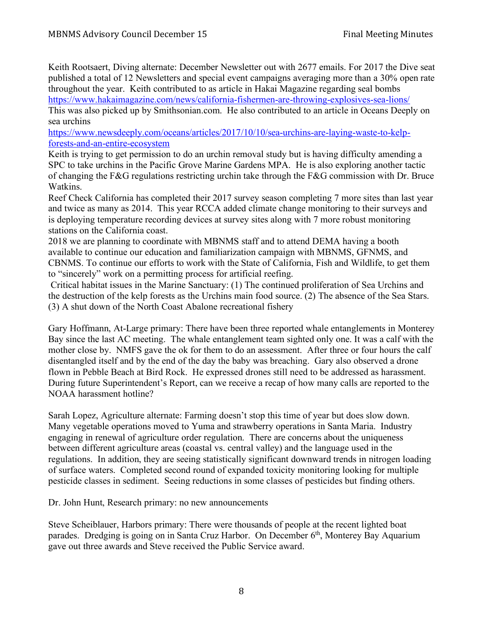Keith Rootsaert, Diving alternate: December Newsletter out with 2677 emails. For 2017 the Dive seat published a total of 12 Newsletters and special event campaigns averaging more than a 30% open rate throughout the year. Keith contributed to as article in Hakai Magazine regarding seal bombs https://www.hakaimagazine.com/news/california-fishermen-are-throwing-explosives-sea-lions/

This was also picked up by Smithsonian.com. He also contributed to an article in Oceans Deeply on sea urchins

https://www.newsdeeply.com/oceans/articles/2017/10/10/sea-urchins-are-laying-waste-to-kelpforests-and-an-entire-ecosystem

Keith is trying to get permission to do an urchin removal study but is having difficulty amending a SPC to take urchins in the Pacific Grove Marine Gardens MPA. He is also exploring another tactic of changing the F&G regulations restricting urchin take through the F&G commission with Dr. Bruce Watkins.

Reef Check California has completed their 2017 survey season completing 7 more sites than last year and twice as many as 2014. This year RCCA added climate change monitoring to their surveys and is deploying temperature recording devices at survey sites along with 7 more robust monitoring stations on the California coast.

2018 we are planning to coordinate with MBNMS staff and to attend DEMA having a booth available to continue our education and familiarization campaign with MBNMS, GFNMS, and CBNMS. To continue our efforts to work with the State of California, Fish and Wildlife, to get them to "sincerely" work on a permitting process for artificial reefing.

Critical habitat issues in the Marine Sanctuary: (1) The continued proliferation of Sea Urchins and the destruction of the kelp forests as the Urchins main food source. (2) The absence of the Sea Stars. (3) A shut down of the North Coast Abalone recreational fishery

Gary Hoffmann, At-Large primary: There have been three reported whale entanglements in Monterey Bay since the last AC meeting. The whale entanglement team sighted only one. It was a calf with the mother close by. NMFS gave the ok for them to do an assessment. After three or four hours the calf disentangled itself and by the end of the day the baby was breaching. Gary also observed a drone flown in Pebble Beach at Bird Rock. He expressed drones still need to be addressed as harassment. During future Superintendent's Report, can we receive a recap of how many calls are reported to the NOAA harassment hotline?

Sarah Lopez, Agriculture alternate: Farming doesn't stop this time of year but does slow down. Many vegetable operations moved to Yuma and strawberry operations in Santa Maria. Industry engaging in renewal of agriculture order regulation. There are concerns about the uniqueness between different agriculture areas (coastal vs. central valley) and the language used in the regulations. In addition, they are seeing statistically significant downward trends in nitrogen loading of surface waters. Completed second round of expanded toxicity monitoring looking for multiple pesticide classes in sediment. Seeing reductions in some classes of pesticides but finding others.

Dr. John Hunt, Research primary: no new announcements

Steve Scheiblauer, Harbors primary: There were thousands of people at the recent lighted boat parades. Dredging is going on in Santa Cruz Harbor. On December 6<sup>th</sup>, Monterey Bay Aquarium gave out three awards and Steve received the Public Service award.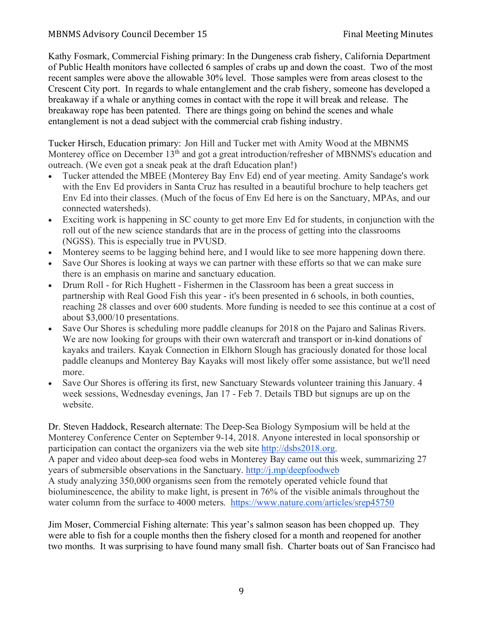### MBNMS Advisory Council December 15 Final Meeting Minutes

Kathy Fosmark, Commercial Fishing primary: In the Dungeness crab fishery, California Department of Public Health monitors have collected 6 samples of crabs up and down the coast. Two of the most recent samples were above the allowable 30% level. Those samples were from areas closest to the Crescent City port. In regards to whale entanglement and the crab fishery, someone has developed a breakaway if a whale or anything comes in contact with the rope it will break and release. The breakaway rope has been patented. There are things going on behind the scenes and whale entanglement is not a dead subject with the commercial crab fishing industry.

Tucker Hirsch, Education primary: Jon Hill and Tucker met with Amity Wood at the MBNMS Monterey office on December 13<sup>th</sup> and got a great introduction/refresher of MBNMS's education and outreach. (We even got a sneak peak at the draft Education plan!)

- Tucker attended the MBEE (Monterey Bay Env Ed) end of year meeting. Amity Sandage's work with the Env Ed providers in Santa Cruz has resulted in a beautiful brochure to help teachers get Env Ed into their classes. (Much of the focus of Env Ed here is on the Sanctuary, MPAs, and our connected watersheds).
- Exciting work is happening in SC county to get more Env Ed for students, in conjunction with the roll out of the new science standards that are in the process of getting into the classrooms (NGSS). This is especially true in PVUSD.
- Monterey seems to be lagging behind here, and I would like to see more happening down there.
- Save Our Shores is looking at ways we can partner with these efforts so that we can make sure there is an emphasis on marine and sanctuary education.
- Drum Roll for Rich Hughett Fishermen in the Classroom has been a great success in partnership with Real Good Fish this year - it's been presented in 6 schools, in both counties, reaching 28 classes and over 600 students. More funding is needed to see this continue at a cost of about \$3,000/10 presentations.
- Save Our Shores is scheduling more paddle cleanups for 2018 on the Pajaro and Salinas Rivers. We are now looking for groups with their own watercraft and transport or in-kind donations of kayaks and trailers. Kayak Connection in Elkhorn Slough has graciously donated for those local paddle cleanups and Monterey Bay Kayaks will most likely offer some assistance, but we'll need more.
- Save Our Shores is offering its first, new Sanctuary Stewards volunteer training this January. 4 week sessions, Wednesday evenings, Jan 17 - Feb 7. Details TBD but signups are up on the website.

Dr. Steven Haddock, Research alternate: The Deep-Sea Biology Symposium will be held at the Monterey Conference Center on September 9-14, 2018. Anyone interested in local sponsorship or participation can contact the organizers via the web site http://dsbs2018.org.

A paper and video about deep-sea food webs in Monterey Bay came out this week, summarizing 27 years of submersible observations in the Sanctuary. http://j.mp/deepfoodweb

A study analyzing 350,000 organisms seen from the remotely operated vehicle found that bioluminescence, the ability to make light, is present in 76% of the visible animals throughout the water column from the surface to 4000 meters. https://www.nature.com/articles/srep45750

Jim Moser, Commercial Fishing alternate: This year's salmon season has been chopped up. They were able to fish for a couple months then the fishery closed for a month and reopened for another two months. It was surprising to have found many small fish. Charter boats out of San Francisco had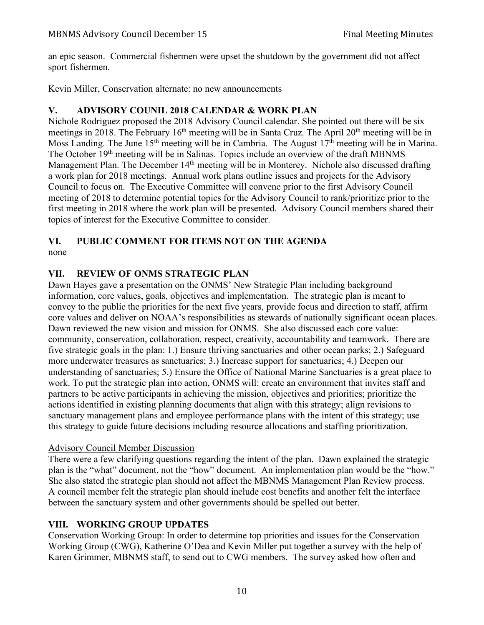an epic season. Commercial fishermen were upset the shutdown by the government did not affect sport fishermen.

Kevin Miller, Conservation alternate: no new announcements

## **V. ADVISORY COUNIL 2018 CALENDAR & WORK PLAN**

Nichole Rodriguez proposed the 2018 Advisory Council calendar. She pointed out there will be six meetings in 2018. The February  $16<sup>th</sup>$  meeting will be in Santa Cruz. The April  $20<sup>th</sup>$  meeting will be in Moss Landing. The June 15<sup>th</sup> meeting will be in Cambria. The August 17<sup>th</sup> meeting will be in Marina. The October 19<sup>th</sup> meeting will be in Salinas. Topics include an overview of the draft MBNMS Management Plan. The December 14<sup>th</sup> meeting will be in Monterey. Nichole also discussed drafting a work plan for 2018 meetings. Annual work plans outline issues and projects for the Advisory Council to focus on. The Executive Committee will convene prior to the first Advisory Council meeting of 2018 to determine potential topics for the Advisory Council to rank/prioritize prior to the first meeting in 2018 where the work plan will be presented. Advisory Council members shared their topics of interest for the Executive Committee to consider.

### **VI. PUBLIC COMMENT FOR ITEMS NOT ON THE AGENDA** none

# **VII. REVIEW OF ONMS STRATEGIC PLAN**

Dawn Hayes gave a presentation on the ONMS' New Strategic Plan including background information, core values, goals, objectives and implementation. The strategic plan is meant to convey to the public the priorities for the next five years, provide focus and direction to staff, affirm core values and deliver on NOAA's responsibilities as stewards of nationally significant ocean places. Dawn reviewed the new vision and mission for ONMS. She also discussed each core value: community, conservation, collaboration, respect, creativity, accountability and teamwork. There are five strategic goals in the plan: 1.) Ensure thriving sanctuaries and other ocean parks; 2.) Safeguard more underwater treasures as sanctuaries; 3.) Increase support for sanctuaries; 4.) Deepen our understanding of sanctuaries; 5.) Ensure the Office of National Marine Sanctuaries is a great place to work. To put the strategic plan into action, ONMS will: create an environment that invites staff and partners to be active participants in achieving the mission, objectives and priorities; prioritize the actions identified in existing planning documents that align with this strategy; align revisions to sanctuary management plans and employee performance plans with the intent of this strategy; use this strategy to guide future decisions including resource allocations and staffing prioritization.

## Advisory Council Member Discussion

There were a few clarifying questions regarding the intent of the plan. Dawn explained the strategic plan is the "what" document, not the "how" document. An implementation plan would be the "how." She also stated the strategic plan should not affect the MBNMS Management Plan Review process. A council member felt the strategic plan should include cost benefits and another felt the interface between the sanctuary system and other governments should be spelled out better.

# **VIII. WORKING GROUP UPDATES**

Conservation Working Group: In order to determine top priorities and issues for the Conservation Working Group (CWG), Katherine O'Dea and Kevin Miller put together a survey with the help of Karen Grimmer, MBNMS staff, to send out to CWG members. The survey asked how often and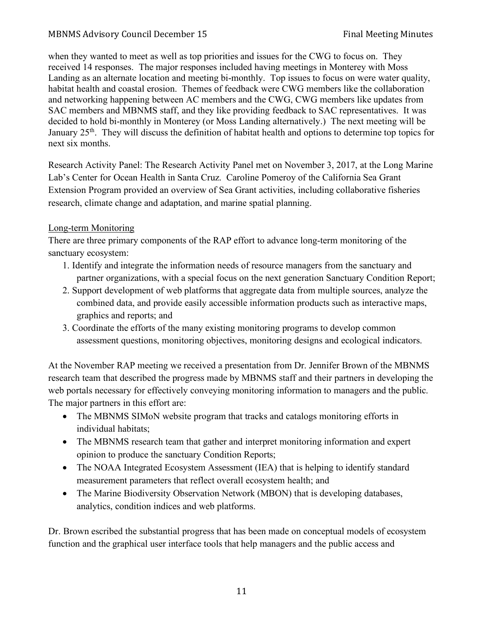### MBNMS Advisory Council December 15 Final Meeting Minutes

when they wanted to meet as well as top priorities and issues for the CWG to focus on. They received 14 responses. The major responses included having meetings in Monterey with Moss Landing as an alternate location and meeting bi-monthly. Top issues to focus on were water quality, habitat health and coastal erosion. Themes of feedback were CWG members like the collaboration and networking happening between AC members and the CWG, CWG members like updates from SAC members and MBNMS staff, and they like providing feedback to SAC representatives. It was decided to hold bi-monthly in Monterey (or Moss Landing alternatively.) The next meeting will be January 25<sup>th</sup>. They will discuss the definition of habitat health and options to determine top topics for next six months.

Research Activity Panel: The Research Activity Panel met on November 3, 2017, at the Long Marine Lab's Center for Ocean Health in Santa Cruz. Caroline Pomeroy of the California Sea Grant Extension Program provided an overview of Sea Grant activities, including collaborative fisheries research, climate change and adaptation, and marine spatial planning.

### Long-term Monitoring

There are three primary components of the RAP effort to advance long-term monitoring of the sanctuary ecosystem:

- 1. Identify and integrate the information needs of resource managers from the sanctuary and partner organizations, with a special focus on the next generation Sanctuary Condition Report;
- 2. Support development of web platforms that aggregate data from multiple sources, analyze the combined data, and provide easily accessible information products such as interactive maps, graphics and reports; and
- 3. Coordinate the efforts of the many existing monitoring programs to develop common assessment questions, monitoring objectives, monitoring designs and ecological indicators.

At the November RAP meeting we received a presentation from Dr. Jennifer Brown of the MBNMS research team that described the progress made by MBNMS staff and their partners in developing the web portals necessary for effectively conveying monitoring information to managers and the public. The major partners in this effort are:

- The MBNMS SIMoN website program that tracks and catalogs monitoring efforts in individual habitats;
- The MBNMS research team that gather and interpret monitoring information and expert opinion to produce the sanctuary Condition Reports;
- The NOAA Integrated Ecosystem Assessment (IEA) that is helping to identify standard measurement parameters that reflect overall ecosystem health; and
- The Marine Biodiversity Observation Network (MBON) that is developing databases, analytics, condition indices and web platforms.

Dr. Brown escribed the substantial progress that has been made on conceptual models of ecosystem function and the graphical user interface tools that help managers and the public access and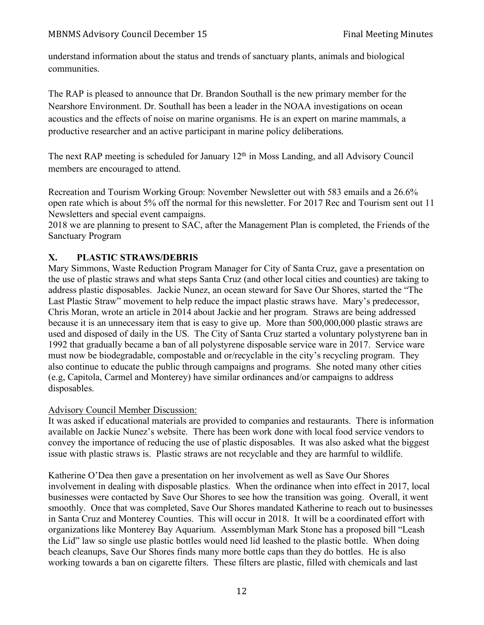understand information about the status and trends of sanctuary plants, animals and biological communities.

The RAP is pleased to announce that Dr. Brandon Southall is the new primary member for the Nearshore Environment. Dr. Southall has been a leader in the NOAA investigations on ocean acoustics and the effects of noise on marine organisms. He is an expert on marine mammals, a productive researcher and an active participant in marine policy deliberations.

The next RAP meeting is scheduled for January  $12<sup>th</sup>$  in Moss Landing, and all Advisory Council members are encouraged to attend.

Recreation and Tourism Working Group: November Newsletter out with 583 emails and a 26.6% open rate which is about 5% off the normal for this newsletter. For 2017 Rec and Tourism sent out 11 Newsletters and special event campaigns.

2018 we are planning to present to SAC, after the Management Plan is completed, the Friends of the Sanctuary Program

# **X. PLASTIC STRAWS/DEBRIS**

Mary Simmons, Waste Reduction Program Manager for City of Santa Cruz, gave a presentation on the use of plastic straws and what steps Santa Cruz (and other local cities and counties) are taking to address plastic disposables. Jackie Nunez, an ocean steward for Save Our Shores, started the "The Last Plastic Straw" movement to help reduce the impact plastic straws have. Mary's predecessor, Chris Moran, wrote an article in 2014 about Jackie and her program. Straws are being addressed because it is an unnecessary item that is easy to give up. More than 500,000,000 plastic straws are used and disposed of daily in the US. The City of Santa Cruz started a voluntary polystyrene ban in 1992 that gradually became a ban of all polystyrene disposable service ware in 2017. Service ware must now be biodegradable, compostable and or/recyclable in the city's recycling program. They also continue to educate the public through campaigns and programs. She noted many other cities (e.g, Capitola, Carmel and Monterey) have similar ordinances and/or campaigns to address disposables.

### Advisory Council Member Discussion:

It was asked if educational materials are provided to companies and restaurants. There is information available on Jackie Nunez's website. There has been work done with local food service vendors to convey the importance of reducing the use of plastic disposables. It was also asked what the biggest issue with plastic straws is. Plastic straws are not recyclable and they are harmful to wildlife.

Katherine O'Dea then gave a presentation on her involvement as well as Save Our Shores involvement in dealing with disposable plastics. When the ordinance when into effect in 2017, local businesses were contacted by Save Our Shores to see how the transition was going. Overall, it went smoothly. Once that was completed, Save Our Shores mandated Katherine to reach out to businesses in Santa Cruz and Monterey Counties. This will occur in 2018. It will be a coordinated effort with organizations like Monterey Bay Aquarium. Assemblyman Mark Stone has a proposed bill "Leash the Lid" law so single use plastic bottles would need lid leashed to the plastic bottle. When doing beach cleanups, Save Our Shores finds many more bottle caps than they do bottles. He is also working towards a ban on cigarette filters. These filters are plastic, filled with chemicals and last